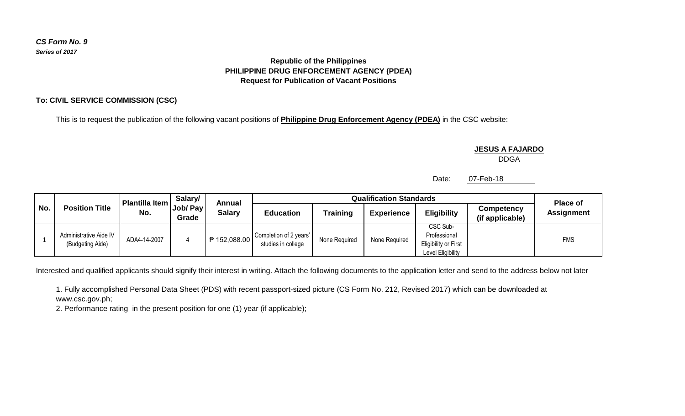# *CS Form No. 9 Series of 2017*

## **Republic of the Philippines PHILIPPINE DRUG ENFORCEMENT AGENCY (PDEA) Request for Publication of Vacant Positions**

## **To: CIVIL SERVICE COMMISSION (CSC)**

This is to request the publication of the following vacant positions of **Philippine Drug Enforcement Agency (PDEA)** in the CSC website:

#### **JESUS A FAJARDO**

DDGA

Date: 07-Feb-18

| No. | <b>Position Title</b>                      | Plantilla Item<br>No. | Salary/<br>Job/ Pay<br>Grade | Annual<br><b>Salary</b> | <b>Qualification Standards</b>               |                 |                   |                                                                              |                               | <b>Place of</b>   |
|-----|--------------------------------------------|-----------------------|------------------------------|-------------------------|----------------------------------------------|-----------------|-------------------|------------------------------------------------------------------------------|-------------------------------|-------------------|
|     |                                            |                       |                              |                         | <b>Education</b>                             | <b>Training</b> | <b>Experience</b> | <b>Eligibility</b>                                                           | Competency<br>(if applicable) | <b>Assignment</b> |
|     | Administrative Aide IV<br>(Budgeting Aide) | ADA4-14-2007          |                              | ₱ 152,088.00            | Completion of 2 years'<br>studies in college | None Required   | None Required     | <b>CSC Sub-</b><br>Professional<br>Eligibility or First<br>Level Eligibility |                               | <b>FMS</b>        |

Interested and qualified applicants should signify their interest in writing. Attach the following documents to the application letter and send to the address below not later

1. Fully accomplished Personal Data Sheet (PDS) with recent passport-sized picture (CS Form No. 212, Revised 2017) which can be downloaded at www.csc.gov.ph;

2. Performance rating in the present position for one (1) year (if applicable);